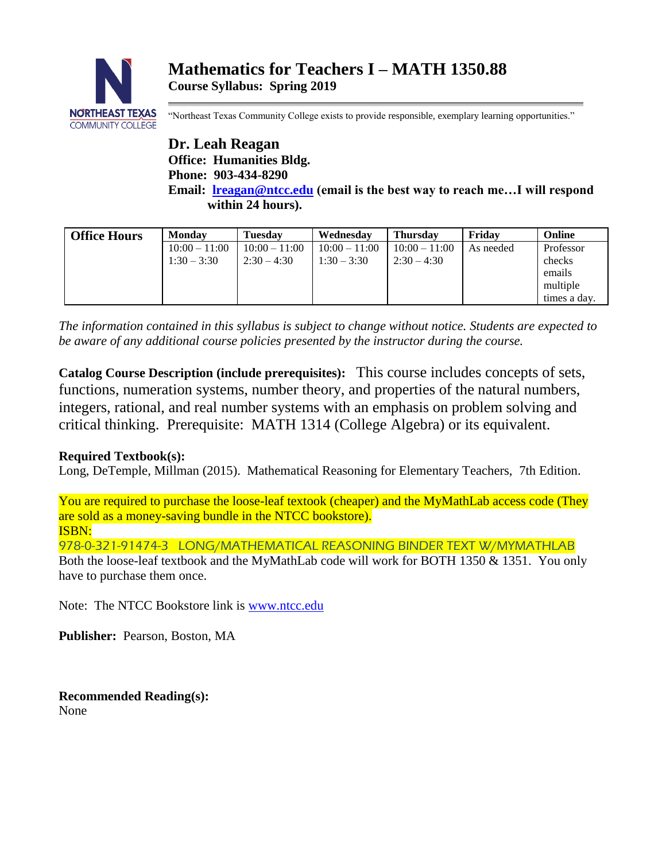

"Northeast Texas Community College exists to provide responsible, exemplary learning opportunities."

**Dr. Leah Reagan Office: Humanities Bldg. Phone: 903-434-8290 Email: [lreagan@ntcc.edu](mailto:lreagan@ntcc.edu) (email is the best way to reach me…I will respond within 24 hours).**

| <b>Office Hours</b> | <b>Monday</b>   | <b>Tuesday</b>  | Wednesday       | <b>Thursday</b> | Fridav    | Online       |
|---------------------|-----------------|-----------------|-----------------|-----------------|-----------|--------------|
|                     | $10:00 - 11:00$ | $10:00 - 11:00$ | $10:00 - 11:00$ | $10:00 - 11:00$ | As needed | Professor    |
|                     | $1:30 - 3:30$   | $2:30 - 4:30$   | $1:30 - 3:30$   | $2:30 - 4:30$   |           | checks       |
|                     |                 |                 |                 |                 |           | emails       |
|                     |                 |                 |                 |                 |           | multiple     |
|                     |                 |                 |                 |                 |           | times a day. |

*The information contained in this syllabus is subject to change without notice. Students are expected to be aware of any additional course policies presented by the instructor during the course.*

**Catalog Course Description (include prerequisites):** This course includes concepts of sets, functions, numeration systems, number theory, and properties of the natural numbers, integers, rational, and real number systems with an emphasis on problem solving and critical thinking. Prerequisite: MATH 1314 (College Algebra) or its equivalent.

# **Required Textbook(s):**

Long, DeTemple, Millman (2015). Mathematical Reasoning for Elementary Teachers, 7th Edition.

You are required to purchase the loose-leaf textook (cheaper) and the MyMathLab access code (They are sold as a money-saving bundle in the NTCC bookstore). ISBN:

978-0-321-91474-3 LONG/MATHEMATICAL REASONING BINDER TEXT W/MYMATHLAB Both the loose-leaf textbook and the MyMathLab code will work for BOTH 1350 & 1351. You only have to purchase them once.

Note: The NTCC Bookstore link is [www.ntcc.edu](http://www.ntcc.edu/)

**Publisher:** Pearson, Boston, MA

**Recommended Reading(s):** None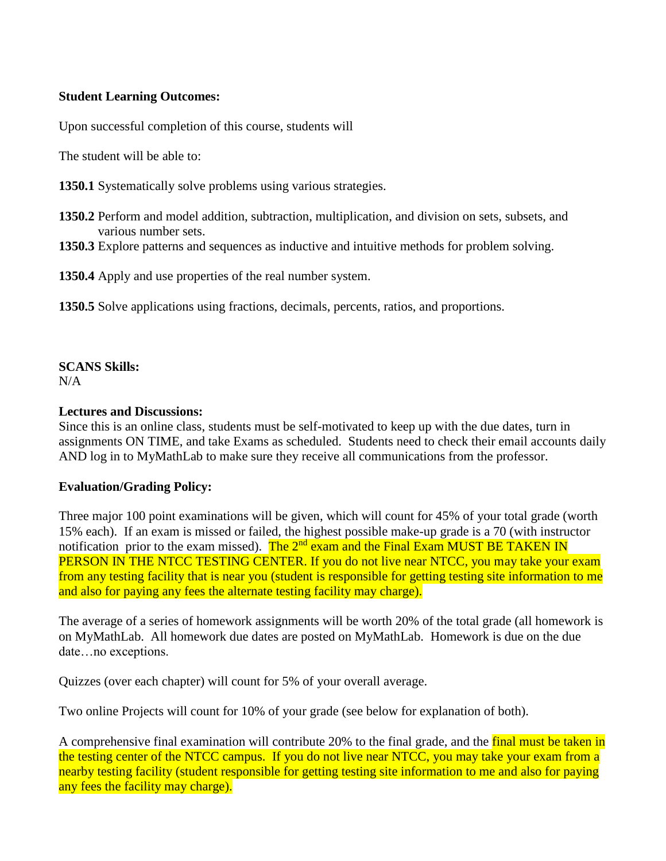### **Student Learning Outcomes:**

Upon successful completion of this course, students will

The student will be able to:

**1350.1** Systematically solve problems using various strategies.

- **1350.2** Perform and model addition, subtraction, multiplication, and division on sets, subsets, and various number sets.
- **1350.3** Explore patterns and sequences as inductive and intuitive methods for problem solving.

**1350.4** Apply and use properties of the real number system.

**1350.5** Solve applications using fractions, decimals, percents, ratios, and proportions.

# **SCANS Skills:**

 $N/A$ 

### **Lectures and Discussions:**

Since this is an online class, students must be self-motivated to keep up with the due dates, turn in assignments ON TIME, and take Exams as scheduled. Students need to check their email accounts daily AND log in to MyMathLab to make sure they receive all communications from the professor.

## **Evaluation/Grading Policy:**

Three major 100 point examinations will be given, which will count for 45% of your total grade (worth 15% each). If an exam is missed or failed, the highest possible make-up grade is a 70 (with instructor notification prior to the exam missed). The  $2<sup>nd</sup>$  exam and the Final Exam MUST BE TAKEN IN PERSON IN THE NTCC TESTING CENTER. If you do not live near NTCC, you may take your exam from any testing facility that is near you (student is responsible for getting testing site information to me and also for paying any fees the alternate testing facility may charge).

The average of a series of homework assignments will be worth 20% of the total grade (all homework is on MyMathLab. All homework due dates are posted on MyMathLab. Homework is due on the due date…no exceptions.

Quizzes (over each chapter) will count for 5% of your overall average.

Two online Projects will count for 10% of your grade (see below for explanation of both).

A comprehensive final examination will contribute 20% to the final grade, and the final must be taken in the testing center of the NTCC campus. If you do not live near NTCC, you may take your exam from a nearby testing facility (student responsible for getting testing site information to me and also for paying any fees the facility may charge).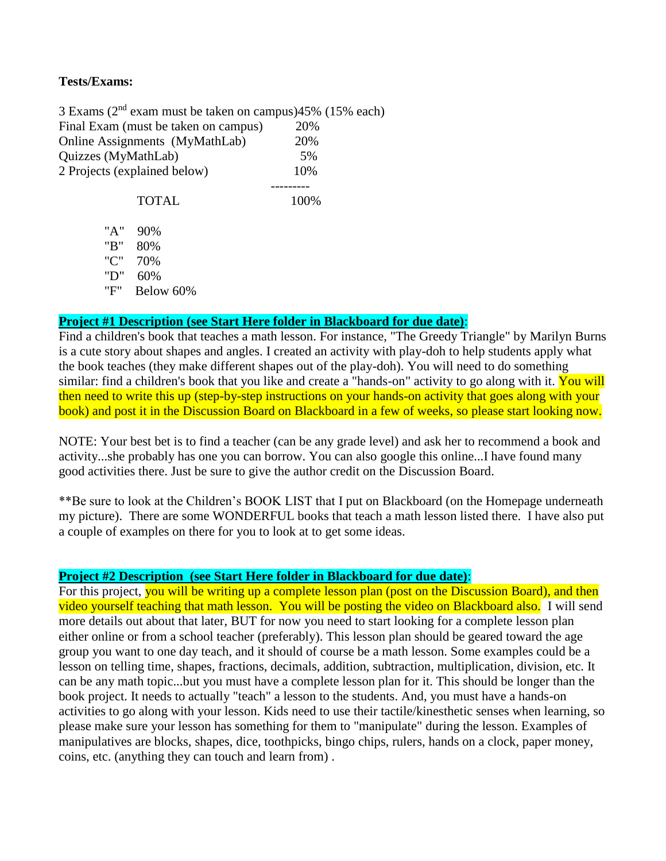### **Tests/Exams:**

3 Exams ( $2<sup>nd</sup>$  exam must be taken on campus) $45%$  (15% each) Final Exam (must be taken on campus) 20% Online Assignments (MyMathLab) 20% Quizzes (MyMathLab) 5% 2 Projects (explained below) 10%

> --------- TOTAL 100%

 "A" 90% "B" 80% "C" 70% "D" 60% "F" Below 60%

#### **Project #1 Description (see Start Here folder in Blackboard for due date)**:

Find a children's book that teaches a math lesson. For instance, "The Greedy Triangle" by Marilyn Burns is a cute story about shapes and angles. I created an activity with play-doh to help students apply what the book teaches (they make different shapes out of the play-doh). You will need to do something similar: find a children's book that you like and create a "hands-on" activity to go along with it. You will then need to write this up (step-by-step instructions on your hands-on activity that goes along with your book) and post it in the Discussion Board on Blackboard in a few of weeks, so please start looking now.

NOTE: Your best bet is to find a teacher (can be any grade level) and ask her to recommend a book and activity...she probably has one you can borrow. You can also google this online...I have found many good activities there. Just be sure to give the author credit on the Discussion Board.

\*\*Be sure to look at the Children's BOOK LIST that I put on Blackboard (on the Homepage underneath my picture). There are some WONDERFUL books that teach a math lesson listed there. I have also put a couple of examples on there for you to look at to get some ideas.

### **Project #2 Description (see Start Here folder in Blackboard for due date)**:

For this project, you will be writing up a complete lesson plan (post on the Discussion Board), and then video yourself teaching that math lesson. You will be posting the video on Blackboard also. I will send more details out about that later, BUT for now you need to start looking for a complete lesson plan either online or from a school teacher (preferably). This lesson plan should be geared toward the age group you want to one day teach, and it should of course be a math lesson. Some examples could be a lesson on telling time, shapes, fractions, decimals, addition, subtraction, multiplication, division, etc. It can be any math topic...but you must have a complete lesson plan for it. This should be longer than the book project. It needs to actually "teach" a lesson to the students. And, you must have a hands-on activities to go along with your lesson. Kids need to use their tactile/kinesthetic senses when learning, so please make sure your lesson has something for them to "manipulate" during the lesson. Examples of manipulatives are blocks, shapes, dice, toothpicks, bingo chips, rulers, hands on a clock, paper money, coins, etc. (anything they can touch and learn from) .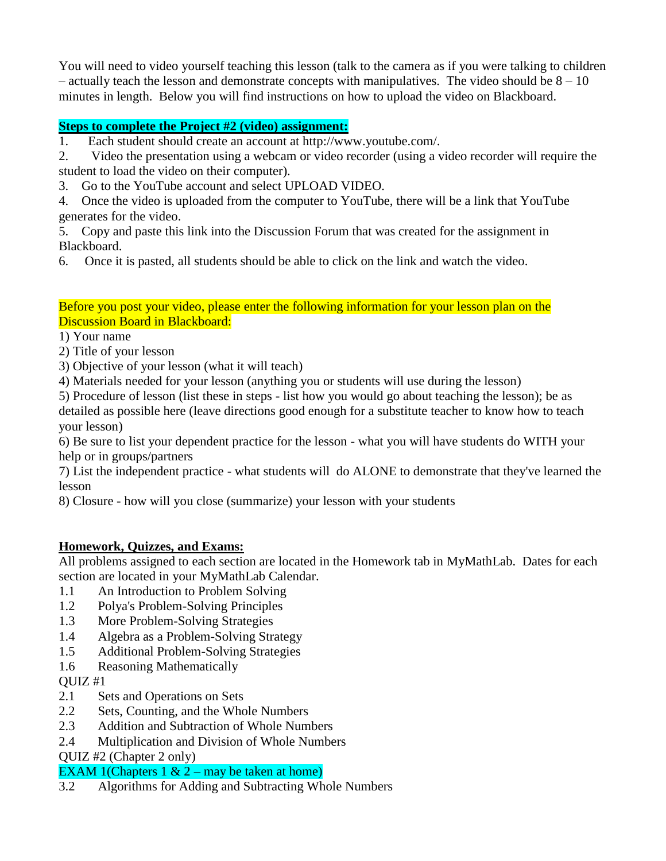You will need to video yourself teaching this lesson (talk to the camera as if you were talking to children – actually teach the lesson and demonstrate concepts with manipulatives. The video should be  $8 - 10$ minutes in length. Below you will find instructions on how to upload the video on Blackboard.

# **Steps to complete the Project #2 (video) assignment:**

1. Each student should create an account at http://www.youtube.com/.

2. Video the presentation using a webcam or video recorder (using a video recorder will require the student to load the video on their computer).

3. Go to the YouTube account and select UPLOAD VIDEO.

4. Once the video is uploaded from the computer to YouTube, there will be a link that YouTube generates for the video.

5. Copy and paste this link into the Discussion Forum that was created for the assignment in Blackboard.

6. Once it is pasted, all students should be able to click on the link and watch the video.

### Before you post your video, please enter the following information for your lesson plan on the Discussion Board in Blackboard:

### 1) Your name

2) Title of your lesson

3) Objective of your lesson (what it will teach)

4) Materials needed for your lesson (anything you or students will use during the lesson)

5) Procedure of lesson (list these in steps - list how you would go about teaching the lesson); be as detailed as possible here (leave directions good enough for a substitute teacher to know how to teach your lesson)

6) Be sure to list your dependent practice for the lesson - what you will have students do WITH your help or in groups/partners

7) List the independent practice - what students will do ALONE to demonstrate that they've learned the lesson

8) Closure - how will you close (summarize) your lesson with your students

# **Homework, Quizzes, and Exams:**

All problems assigned to each section are located in the Homework tab in MyMathLab. Dates for each section are located in your MyMathLab Calendar.

- 1.1 An Introduction to Problem Solving
- 1.2 Polya's Problem-Solving Principles
- 1.3 More Problem-Solving Strategies
- 1.4 Algebra as a Problem-Solving Strategy
- 1.5 Additional Problem-Solving Strategies
- 1.6 Reasoning Mathematically

QUIZ #1

- 2.1 Sets and Operations on Sets
- 2.2 Sets, Counting, and the Whole Numbers
- 2.3 Addition and Subtraction of Whole Numbers
- 2.4 Multiplication and Division of Whole Numbers

QUIZ #2 (Chapter 2 only)

# EXAM 1(Chapters  $1 \& 2 -$  may be taken at home)

3.2 Algorithms for Adding and Subtracting Whole Numbers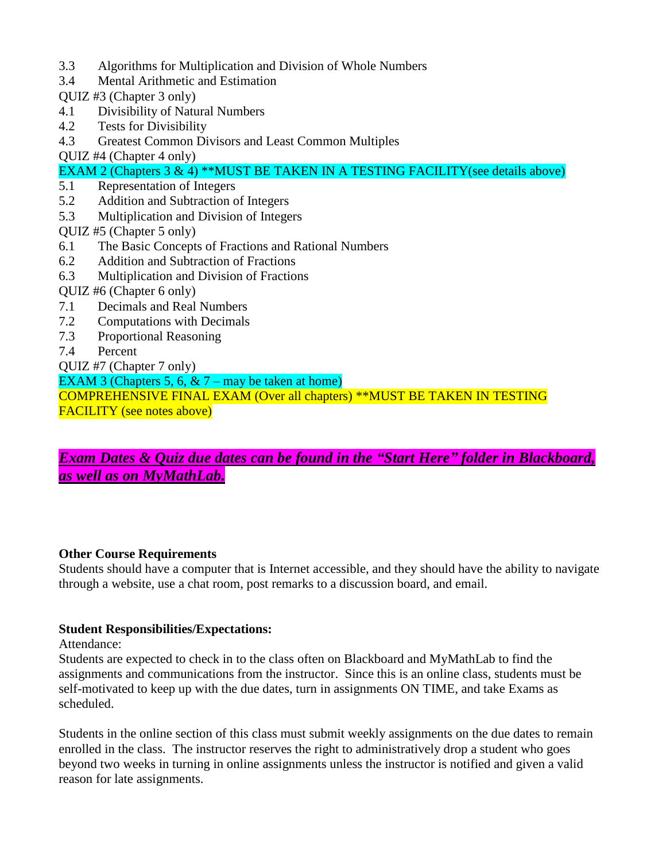- 3.3 Algorithms for Multiplication and Division of Whole Numbers
- 3.4 Mental Arithmetic and Estimation
- QUIZ #3 (Chapter 3 only)
- 4.1 Divisibility of Natural Numbers
- 4.2 Tests for Divisibility
- 4.3 Greatest Common Divisors and Least Common Multiples
- QUIZ #4 (Chapter 4 only)

EXAM 2 (Chapters 3 & 4) \*\*MUST BE TAKEN IN A TESTING FACILITY(see details above)

- 5.1 Representation of Integers
- 5.2 Addition and Subtraction of Integers
- 5.3 Multiplication and Division of Integers
- QUIZ #5 (Chapter 5 only)
- 6.1 The Basic Concepts of Fractions and Rational Numbers
- 6.2 Addition and Subtraction of Fractions
- 6.3 Multiplication and Division of Fractions
- QUIZ #6 (Chapter 6 only)
- 7.1 Decimals and Real Numbers
- 7.2 Computations with Decimals
- 7.3 Proportional Reasoning
- 7.4 Percent
- QUIZ #7 (Chapter 7 only)

EXAM 3 (Chapters 5, 6,  $\& 7$  – may be taken at home)

COMPREHENSIVE FINAL EXAM (Over all chapters) \*\*MUST BE TAKEN IN TESTING FACILITY (see notes above)

# *Exam Dates & Quiz due dates can be found in the "Start Here" folder in Blackboard, as well as on MyMathLab.*

### **Other Course Requirements**

Students should have a computer that is Internet accessible, and they should have the ability to navigate through a website, use a chat room, post remarks to a discussion board, and email.

### **Student Responsibilities/Expectations:**

Attendance:

Students are expected to check in to the class often on Blackboard and MyMathLab to find the assignments and communications from the instructor. Since this is an online class, students must be self-motivated to keep up with the due dates, turn in assignments ON TIME, and take Exams as scheduled.

Students in the online section of this class must submit weekly assignments on the due dates to remain enrolled in the class. The instructor reserves the right to administratively drop a student who goes beyond two weeks in turning in online assignments unless the instructor is notified and given a valid reason for late assignments.